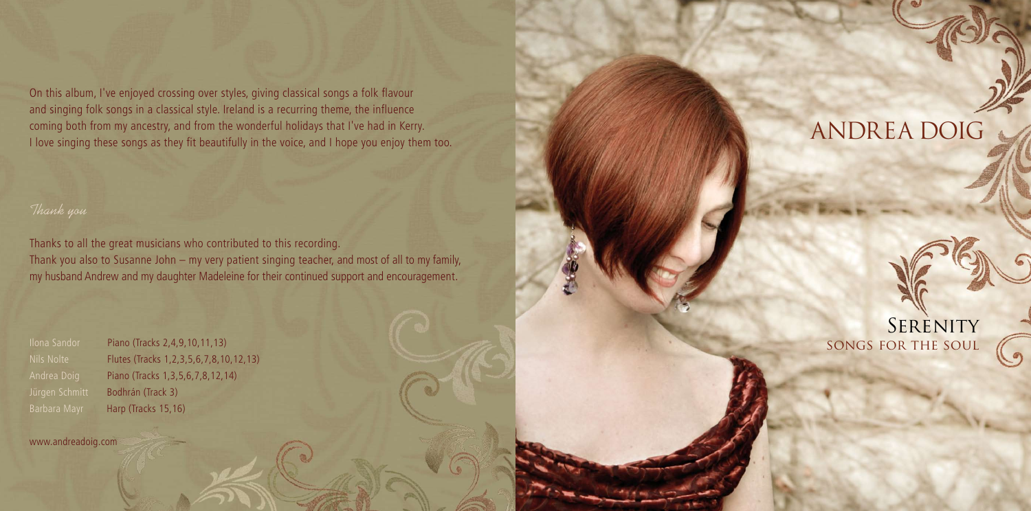On this album, I've enjoyed crossing over styles, giving classical songs a folk flavour and singing folk songs in a classical style. Ireland is a recurring theme, the influence coming both from my ancestry, and from the wonderful holidays that I've had in Kerry. I love singing these songs as they fit beautifully in the voice, and I hope you enjoy them too.

Thanks to all the great musicians who contributed to this recording. Thank you also to Susanne John – my very patient singing teacher, and most of all to my family, my husband Andrew and my daughter Madeleine for their continued support and encouragement.

Ilona Sandor Piano (Tracks 2,4,9,10,11,13) Nils Nolte Flutes (Tracks 1,2,3,5,6,7,8,10,12,13) Andrea Doig Piano (Tracks 1,3,5,6,7,8,12,14) Jürgen Schmitt Bodhrán (Track 3) Barbara Mayr Harp (Tracks 15,16)

www.andreadoig.com

Andrea Doig

SERENITY songs for the soul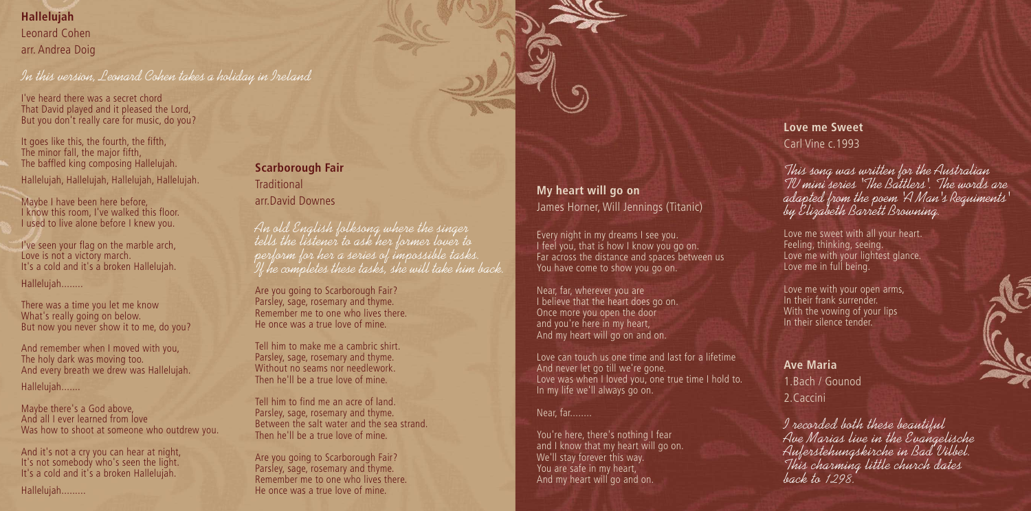# **Hallelujah**  Leonard Cohen arr. Andrea Doig

# In this version, Leonard Cohen takes a holiday in Ireland

I've heard there was a secret chord That David played and it pleased the Lord, But you don't really care for music, do you?

It goes like this, the fourth, the fifth, The minor fall, the major fifth, The baffled king composing Hallelujah. Hallelujah, Hallelujah, Hallelujah, Hallelujah.

 Maybe I have been here before, I know this room, I've walked this floor. I used to live alone before I knew you.

I've seen your flag on the marble arch, Love is not a victory march. It's a cold and it's a broken Hallelujah. Hallelujah........

There was a time you let me know What's really going on below. But now you never show it to me, do you?

And remember when I moved with you, The holy dark was moving too. And every breath we drew was Hallelujah.

Hallelujah.......

Maybe there's a God above, And all I ever learned from love Was how to shoot at someone who outdrew you.

And it's not a cry you can hear at night, It's not somebody who's seen the light. It's a cold and it's a broken Hallelujah. Hallelujah.........

### **Scarborough Fair**

**Traditional** arr.David Downes

An old English folksong where the singer tells the listener to ask her former lover to If he completes these tasks, she will take him back.

Are you going to Scarborough Fair? Parsley, sage, rosemary and thyme. Remember me to one who lives there. He once was a true love of mine.

Tell him to make me a cambric shirt. Parsley, sage, rosemary and thyme. Without no seams nor needlework. Then he'll be a true love of mine.

Tell him to find me an acre of land. Parsley, sage, rosemary and thyme. Between the salt water and the sea strand. Then he'll be a true love of mine.

Are you going to Scarborough Fair? Parsley, sage, rosemary and thyme. Remember me to one who lives there. He once was a true love of mine.

# **My heart will go on** James Horner, Will Jennings (Titanic)

Every night in my dreams I see you. I feel you, that is how I know you go on. Far across the distance and spaces between us You have come to show you go on.

Near, far, wherever you are I believe that the heart does go on. Once more you open the door and you're here in my heart, And my heart will go on and on.

Love can touch us one time and last for a lifetime And never let go till we're gone. Love was when I loved you, one true time I hold to. In my life we'll always go on.

Near, far........

You're here, there's nothing I fear and I know that my heart will go on. We'll stay forever this way. You are safe in my heart And my heart will go and on.

# **Love me Sweet** Carl Vine c.1993

This song was written for the Australian TV mini series 'The Battlers'. The words are adapted from the poem 'A Man's Requiments' by Elizabeth Barrett Browning.

Love me sweet with all your heart. Feeling, thinking, seeing. Love me with your lightest glance. Love me in full being.

Love me with your open arms, In their frank surrender. With the vowing of your lips In their silence tender.

**Ave Maria** 1.Bach / Gounod 2.Caccini

I recorded both these beautiful Ave Marias live in the Evangelische Auferstehungskirche in Bad Vilbel. This charming little church dates back to 1298.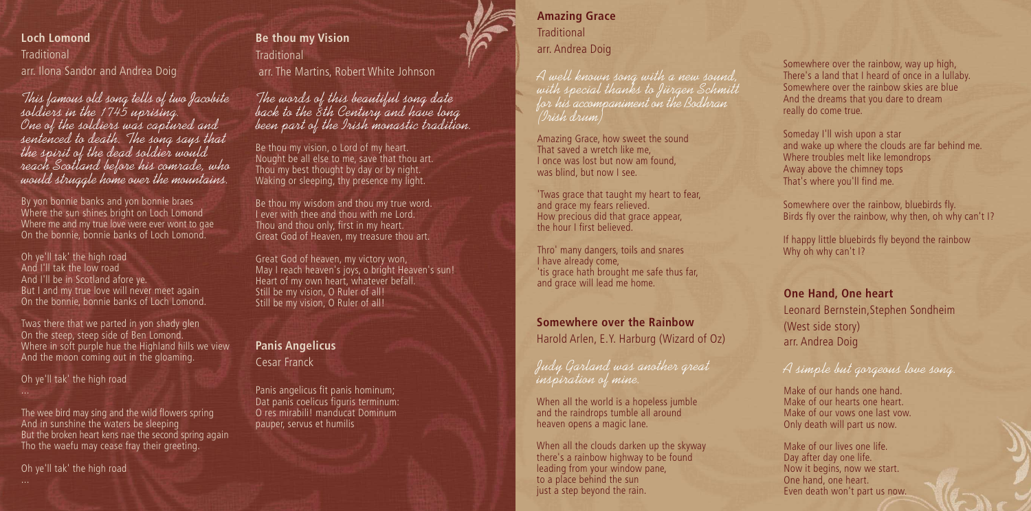# **Loch Lomond Traditional** arr. Ilona Sandor and Andrea Doig

This famous old song tells of two Jacobite soldiers in the 1745 uprising. One of the soldiers was captured and sentenced to death. The song says that the spirit of the dead soldier would reach Scotland before his comrade, who would struggle home over the mountains.

By yon bonnie banks and yon bonnie braes Where the sun shines bright on Loch Lomond Where me and my true love were ever wont to gae On the bonnie, bonnie banks of Loch Lomond.

Oh ye'll tak' the high road And I'll tak the low road And I'll be in Scotland afore ye. But I and my true love will never meet again On the bonnie, bonnie banks of Loch Lomond.

Twas there that we parted in yon shady glen On the steep, steep side of Ben Lomond. Where in soft purple hue the Highland hills we view And the moon coming out in the gloaming.

Oh ye'll tak' the high road

The wee bird may sing and the wild flowers spring And in sunshine the waters be sleeping But the broken heart kens nae the second spring again Tho the waefu may cease fray their greeting.

Oh ye'll tak' the high road

**Be thou my Vision Traditional** arr. The Martins, Robert White Johnson

The words of this beautiful song date back to the 8th Century and have long been part of the Irish monastic tradition.

Be thou my vision, o Lord of my heart. Nought be all else to me, save that thou art. Thou my best thought by day or by night. Waking or sleeping, thy presence my light.

Be thou my wisdom and thou my true word. I ever with thee and thou with me Lord. Thou and thou only, first in my heart. Great God of Heaven, my treasure thou art.

Great God of heaven, my victory won, May I reach heaven's joys, o bright Heaven's sun! Heart of my own heart, whatever befall. Still be my vision, O Ruler of all! Still be my vision, O Ruler of all!

# **Panis Angelicus**

Cesar Franck

Panis angelicus fit panis hominum; Dat panis coelicus figuris terminum: O res mirabili! manducat Dominum pauper, servus et humilis

# **Amazing Grace Traditional** arr. Andrea Doig

with special thanks to Jürgen Schmitt for his accompaniment on the Bodhran (Irish drum)

Amazing Grace, how sweet the sound That saved a wretch like me, I once was lost but now am found, was blind, but now I see.

'Twas grace that taught my heart to fear, and grace my fears relieved. How precious did that grace appear, the hour I first believed.

Thro' many dangers, toils and snares I have already come, 'tis grace hath brought me safe thus far, and grace will lead me home.

### **Somewhere over the Rainbow**

Harold Arlen, E.Y. Harburg (Wizard of Oz)

Judy Garland was another great

When all the world is a hopeless jumble and the raindrops tumble all around heaven opens a magic lane.

When all the clouds darken up the skyway there's a rainbow highway to be found leading from your window pane, to a place behind the sun just a step beyond the rain.

Somewhere over the rainbow, way up high, There's a land that I heard of once in a lullaby. Somewhere over the rainbow skies are blue And the dreams that you dare to dream really do come true.

Someday I'll wish upon a star and wake up where the clouds are far behind me. Where troubles melt like lemondrops Away above the chimney tops That's where you'll find me.

Somewhere over the rainbow, bluebirds fly. Birds fly over the rainbow, why then, oh why can't I?

If happy little bluebirds fly beyond the rainbow Why oh why can't I?

**One Hand, One heart**  Leonard Bernstein, Stephen Sondheim (West side story) arr. Andrea Doig

# A simple but gorgeous love song.

Make of our hands one hand. Make of our hearts one heart. Make of our vows one last vow. Only death will part us now.

Make of our lives one life. Day after day one life. Now it begins, now we start. One hand, one heart. Even death won't part us now.